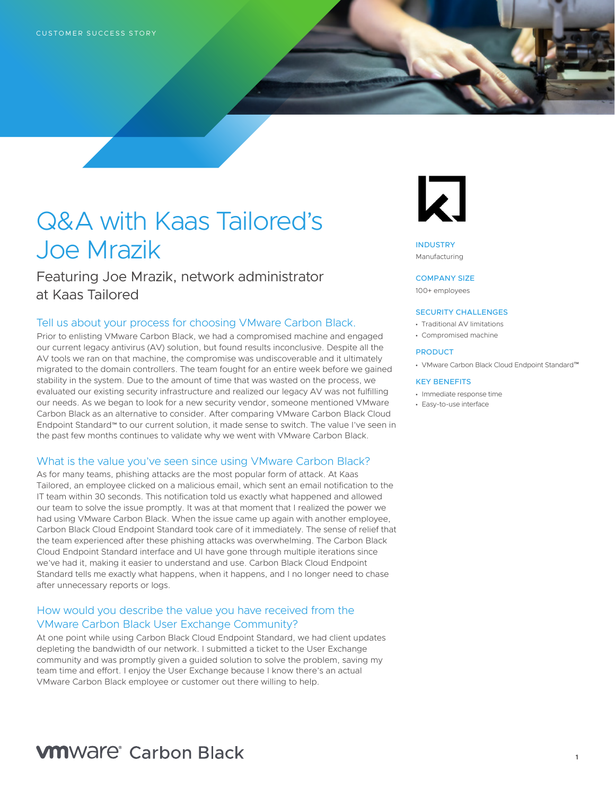# Q&A with Kaas Tailored's Joe Mrazik

Featuring Joe Mrazik, network administrator at Kaas Tailored

### Tell us about your process for choosing VMware Carbon Black.

Prior to enlisting VMware Carbon Black, we had a compromised machine and engaged our current legacy antivirus (AV) solution, but found results inconclusive. Despite all the AV tools we ran on that machine, the compromise was undiscoverable and it ultimately migrated to the domain controllers. The team fought for an entire week before we gained stability in the system. Due to the amount of time that was wasted on the process, we evaluated our existing security infrastructure and realized our legacy AV was not fulfilling our needs. As we began to look for a new security vendor, someone mentioned VMware Carbon Black as an alternative to consider. After comparing VMware Carbon Black Cloud Endpoint Standard™ to our current solution, it made sense to switch. The value I've seen in the past few months continues to validate why we went with VMware Carbon Black.

#### What is the value you've seen since using VMware Carbon Black?

As for many teams, phishing attacks are the most popular form of attack. At Kaas Tailored, an employee clicked on a malicious email, which sent an email notification to the IT team within 30 seconds. This notification told us exactly what happened and allowed our team to solve the issue promptly. It was at that moment that I realized the power we had using VMware Carbon Black. When the issue came up again with another employee, Carbon Black Cloud Endpoint Standard took care of it immediately. The sense of relief that the team experienced after these phishing attacks was overwhelming. The Carbon Black Cloud Endpoint Standard interface and UI have gone through multiple iterations since we've had it, making it easier to understand and use. Carbon Black Cloud Endpoint Standard tells me exactly what happens, when it happens, and I no longer need to chase after unnecessary reports or logs.

## How would you describe the value you have received from the VMware Carbon Black User Exchange Community?

At one point while using Carbon Black Cloud Endpoint Standard, we had client updates depleting the bandwidth of our network. I submitted a ticket to the User Exchange community and was promptly given a guided solution to solve the problem, saving my team time and effort. I enjoy the User Exchange because I know there's an actual VMware Carbon Black employee or customer out there willing to help.



INDUSTRY Manufacturing

#### COMPANY SIZE

100+ employees

#### SECURITY CHALLENGES

- Traditional AV limitations
- Compromised machine

#### PRODUCT

• VMware Carbon Black Cloud Endpoint Standard™

#### KEY BENEFITS

- Immediate response time
- Easy-to-use interface

# **VM**Ware<sup>®</sup> Carbon Black